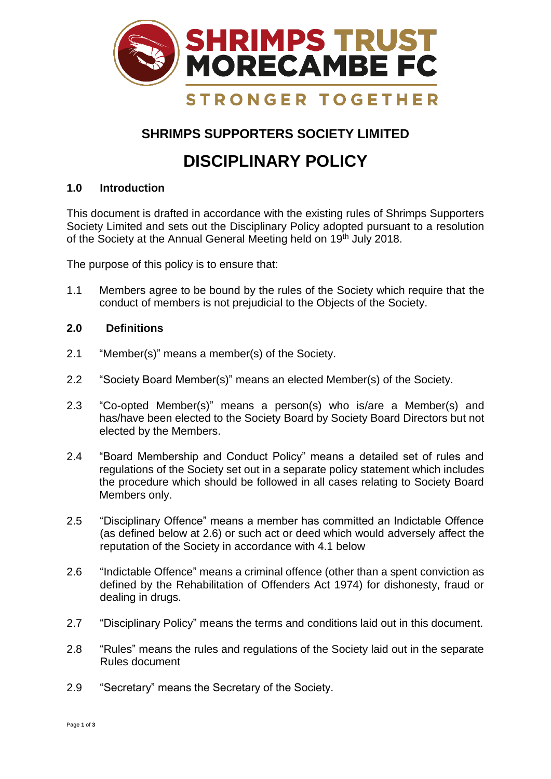

## **SHRIMPS SUPPORTERS SOCIETY LIMITED**

# **DISCIPLINARY POLICY**

### **1.0 Introduction**

This document is drafted in accordance with the existing rules of Shrimps Supporters Society Limited and sets out the Disciplinary Policy adopted pursuant to a resolution of the Society at the Annual General Meeting held on 19<sup>th</sup> July 2018.

The purpose of this policy is to ensure that:

1.1 Members agree to be bound by the rules of the Society which require that the conduct of members is not prejudicial to the Objects of the Society.

#### **2.0 Definitions**

- 2.1 "Member(s)" means a member(s) of the Society.
- 2.2 "Society Board Member(s)" means an elected Member(s) of the Society.
- 2.3 "Co-opted Member(s)" means a person(s) who is/are a Member(s) and has/have been elected to the Society Board by Society Board Directors but not elected by the Members.
- 2.4 "Board Membership and Conduct Policy" means a detailed set of rules and regulations of the Society set out in a separate policy statement which includes the procedure which should be followed in all cases relating to Society Board Members only.
- 2.5 "Disciplinary Offence" means a member has committed an Indictable Offence (as defined below at 2.6) or such act or deed which would adversely affect the reputation of the Society in accordance with 4.1 below
- 2.6 "Indictable Offence" means a criminal offence (other than a spent conviction as defined by the Rehabilitation of Offenders Act 1974) for dishonesty, fraud or dealing in drugs.
- 2.7 "Disciplinary Policy" means the terms and conditions laid out in this document.
- 2.8 "Rules" means the rules and regulations of the Society laid out in the separate Rules document
- 2.9 "Secretary" means the Secretary of the Society.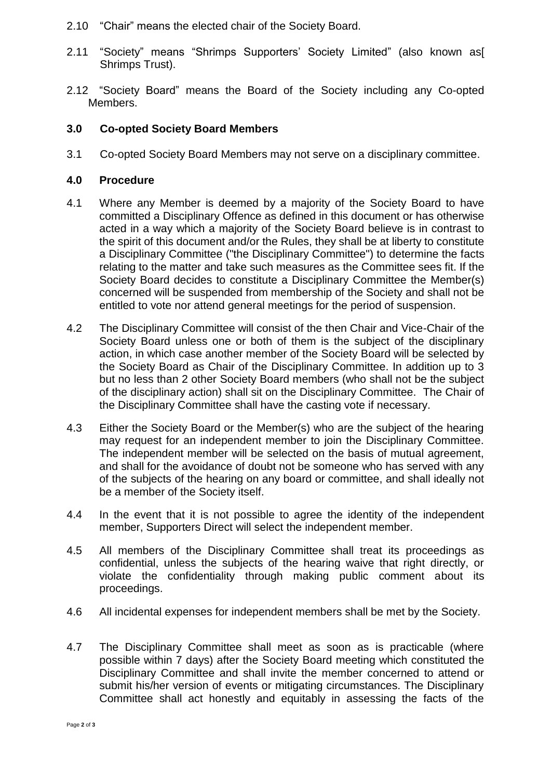- 2.10 "Chair" means the elected chair of the Society Board.
- 2.11 "Society" means "Shrimps Supporters' Society Limited" (also known as[ Shrimps Trust).
- 2.12 "Society Board" means the Board of the Society including any Co-opted Members.

#### **3.0 Co-opted Society Board Members**

3.1 Co-opted Society Board Members may not serve on a disciplinary committee.

#### **4.0 Procedure**

- 4.1 Where any Member is deemed by a majority of the Society Board to have committed a Disciplinary Offence as defined in this document or has otherwise acted in a way which a majority of the Society Board believe is in contrast to the spirit of this document and/or the Rules, they shall be at liberty to constitute a Disciplinary Committee ("the Disciplinary Committee") to determine the facts relating to the matter and take such measures as the Committee sees fit. If the Society Board decides to constitute a Disciplinary Committee the Member(s) concerned will be suspended from membership of the Society and shall not be entitled to vote nor attend general meetings for the period of suspension.
- 4.2 The Disciplinary Committee will consist of the then Chair and Vice-Chair of the Society Board unless one or both of them is the subject of the disciplinary action, in which case another member of the Society Board will be selected by the Society Board as Chair of the Disciplinary Committee. In addition up to 3 but no less than 2 other Society Board members (who shall not be the subject of the disciplinary action) shall sit on the Disciplinary Committee. The Chair of the Disciplinary Committee shall have the casting vote if necessary.
- 4.3 Either the Society Board or the Member(s) who are the subject of the hearing may request for an independent member to join the Disciplinary Committee. The independent member will be selected on the basis of mutual agreement, and shall for the avoidance of doubt not be someone who has served with any of the subjects of the hearing on any board or committee, and shall ideally not be a member of the Society itself.
- 4.4 In the event that it is not possible to agree the identity of the independent member, Supporters Direct will select the independent member.
- 4.5 All members of the Disciplinary Committee shall treat its proceedings as confidential, unless the subjects of the hearing waive that right directly, or violate the confidentiality through making public comment about its proceedings.
- 4.6 All incidental expenses for independent members shall be met by the Society.
- 4.7 The Disciplinary Committee shall meet as soon as is practicable (where possible within 7 days) after the Society Board meeting which constituted the Disciplinary Committee and shall invite the member concerned to attend or submit his/her version of events or mitigating circumstances. The Disciplinary Committee shall act honestly and equitably in assessing the facts of the